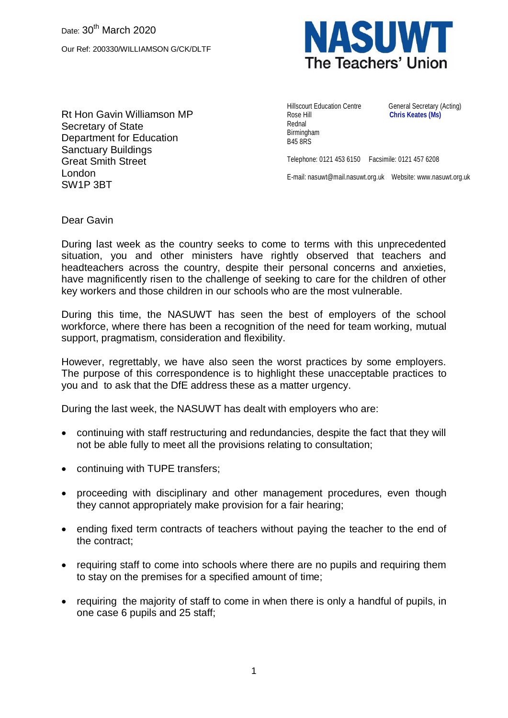

Rt Hon Gavin Williamson MP Secretary of State Department for Education Sanctuary Buildings Great Smith Street London SW1P 3BT

Hillscourt Education Centre General Secretary (Acting) Rose Hill **Chris Keates (Ms)** Rednal Birmingham B45 8RS

Telephone: 0121 453 6150 Facsimile: 0121 457 6208

E-mail: nasuwt@mail.nasuwt.org.uk Website: www.nasuwt.org.uk

Dear Gavin

During last week as the country seeks to come to terms with this unprecedented situation, you and other ministers have rightly observed that teachers and headteachers across the country, despite their personal concerns and anxieties, have magnificently risen to the challenge of seeking to care for the children of other key workers and those children in our schools who are the most vulnerable.

During this time, the NASUWT has seen the best of employers of the school workforce, where there has been a recognition of the need for team working, mutual support, pragmatism, consideration and flexibility.

However, regrettably, we have also seen the worst practices by some employers. The purpose of this correspondence is to highlight these unacceptable practices to you and to ask that the DfE address these as a matter urgency.

During the last week, the NASUWT has dealt with employers who are:

- continuing with staff restructuring and redundancies, despite the fact that they will not be able fully to meet all the provisions relating to consultation;
- continuing with TUPE transfers;
- proceeding with disciplinary and other management procedures, even though they cannot appropriately make provision for a fair hearing;
- ending fixed term contracts of teachers without paying the teacher to the end of the contract;
- requiring staff to come into schools where there are no pupils and requiring them to stay on the premises for a specified amount of time;
- requiring the majority of staff to come in when there is only a handful of pupils, in one case 6 pupils and 25 staff;